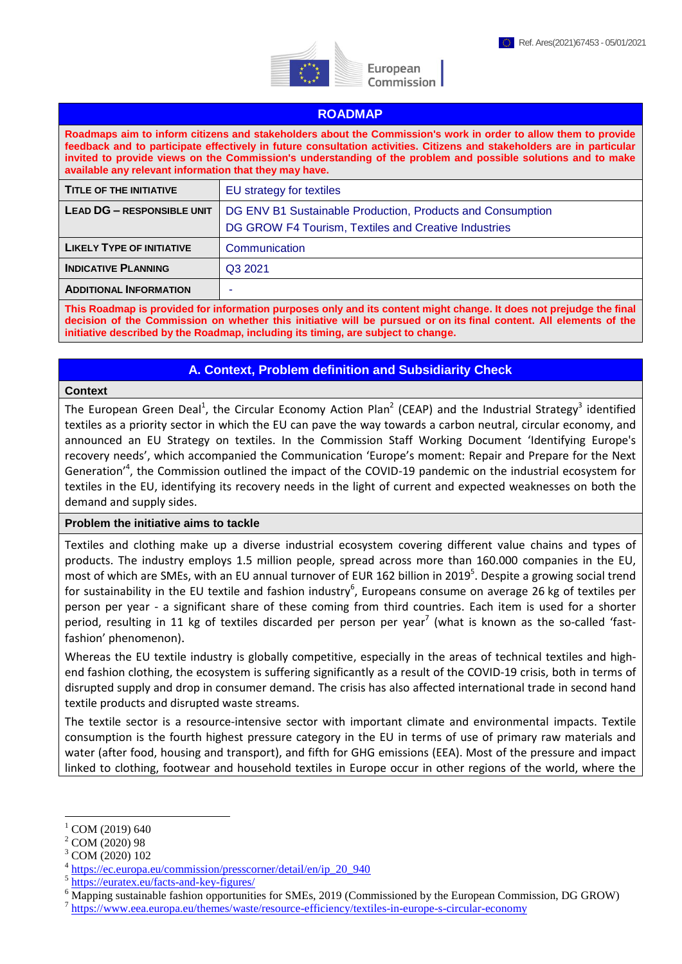

European Commission

### **ROADMAP**

**Roadmaps aim to inform citizens and stakeholders about the Commission's work in order to allow them to provide feedback and to participate effectively in future consultation activities. Citizens and stakeholders are in particular invited to provide views on the Commission's understanding of the problem and possible solutions and to make available any relevant information that they may have.** 

| <b>TITLE OF THE INITIATIVE</b>    | EU strategy for textiles                                   |
|-----------------------------------|------------------------------------------------------------|
| <b>LEAD DG - RESPONSIBLE UNIT</b> | DG ENV B1 Sustainable Production, Products and Consumption |
|                                   | DG GROW F4 Tourism, Textiles and Creative Industries       |
| <b>LIKELY TYPE OF INITIATIVE</b>  | Communication                                              |
| <b>INDICATIVE PLANNING</b>        | Q3 2021                                                    |
| <b>ADDITIONAL INFORMATION</b>     | ۰                                                          |

**This Roadmap is provided for information purposes only and its content might change. It does not prejudge the final decision of the Commission on whether this initiative will be pursued or on its final content. All elements of the initiative described by the Roadmap, including its timing, are subject to change.**

# **A. Context, Problem definition and Subsidiarity Check**

#### **Context**

The European Green Deal<sup>1</sup>, the Circular Economy Action Plan<sup>2</sup> (CEAP) and the Industrial Strategy<sup>3</sup> identified textiles as a priority sector in which the EU can pave the way towards a carbon neutral, circular economy, and announced an EU Strategy on textiles. In the Commission Staff Working Document 'Identifying Europe's recovery needs', which accompanied the Communication 'Europe's moment: Repair and Prepare for the Next Generation<sup>,4</sup>, the Commission outlined the impact of the COVID-19 pandemic on the industrial ecosystem for textiles in the EU, identifying its recovery needs in the light of current and expected weaknesses on both the demand and supply sides.

### **Problem the initiative aims to tackle**

Textiles and clothing make up a diverse industrial ecosystem covering different value chains and types of products. The industry employs 1.5 million people, spread across more than 160.000 companies in the EU, most of which are SMEs, with an EU annual turnover of EUR 162 billion in 2019<sup>5</sup>. Despite a growing social trend for sustainability in the EU textile and fashion industry<sup>6</sup>, Europeans consume on average 26 kg of textiles per person per year - a significant share of these coming from third countries. Each item is used for a shorter period, resulting in 11 kg of textiles discarded per person per year<sup>7</sup> (what is known as the so-called 'fastfashion' phenomenon).

Whereas the EU textile industry is globally competitive, especially in the areas of technical textiles and highend fashion clothing, the ecosystem is suffering significantly as a result of the COVID-19 crisis, both in terms of disrupted supply and drop in consumer demand. The crisis has also affected international trade in second hand textile products and disrupted waste streams.

The textile sector is a resource-intensive sector with important climate and environmental impacts. Textile consumption is the fourth highest pressure category in the EU in terms of use of primary raw materials and water (after food, housing and transport), and fifth for GHG emissions (EEA). Most of the pressure and impact linked to clothing, footwear and household textiles in Europe occur in other regions of the world, where the

<u>.</u>

COM (2019) 640

<sup>2</sup> COM (2020) 98

COM (2020) 102

<sup>4</sup> [https://ec.europa.eu/commission/presscorner/detail/en/ip\\_20\\_940](https://ec.europa.eu/commission/presscorner/detail/en/ip_20_940) 

<sup>5</sup> <https://euratex.eu/facts-and-key-figures/>

<sup>&</sup>lt;sup>6</sup> Mapping sustainable fashion opportunities for SMEs, 2019 (Commissioned by the European Commission, DG GROW)

<sup>&</sup>lt;sup>7</sup> <https://www.eea.europa.eu/themes/waste/resource-efficiency/textiles-in-europe-s-circular-economy>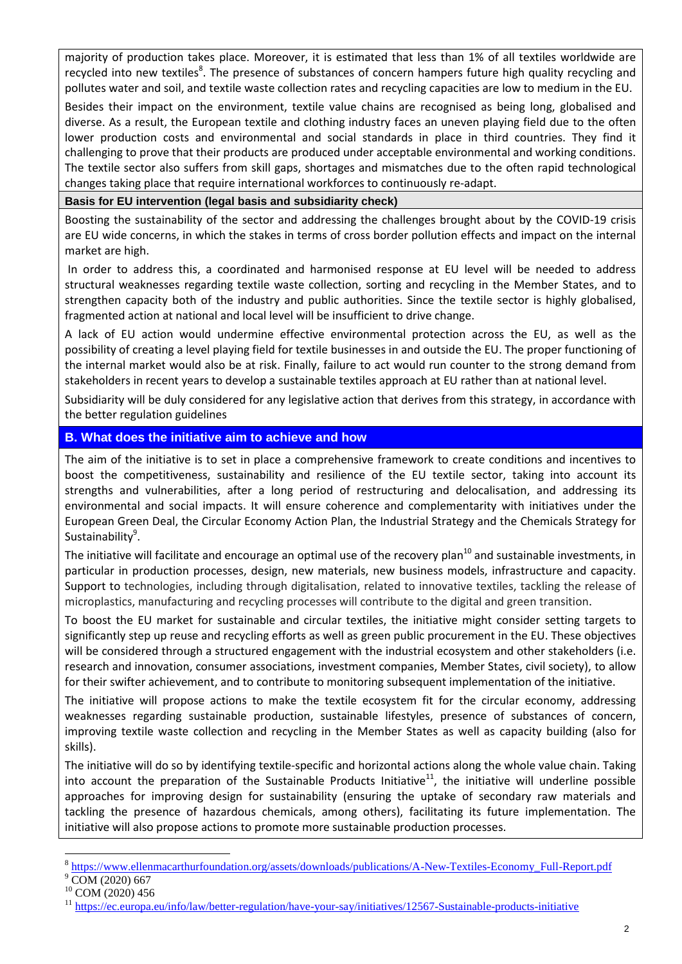majority of production takes place. Moreover, it is estimated that less than 1% of all textiles worldwide are recycled into new textiles<sup>8</sup>. The presence of substances of concern hampers future high quality recycling and pollutes water and soil, and textile waste collection rates and recycling capacities are low to medium in the EU.

Besides their impact on the environment, textile value chains are recognised as being long, globalised and diverse. As a result, the European textile and clothing industry faces an uneven playing field due to the often lower production costs and environmental and social standards in place in third countries. They find it challenging to prove that their products are produced under acceptable environmental and working conditions. The textile sector also suffers from skill gaps, shortages and mismatches due to the often rapid technological changes taking place that require international workforces to continuously re-adapt.

## **Basis for EU intervention (legal basis and subsidiarity check)**

Boosting the sustainability of the sector and addressing the challenges brought about by the COVID-19 crisis are EU wide concerns, in which the stakes in terms of cross border pollution effects and impact on the internal market are high.

In order to address this, a coordinated and harmonised response at EU level will be needed to address structural weaknesses regarding textile waste collection, sorting and recycling in the Member States, and to strengthen capacity both of the industry and public authorities. Since the textile sector is highly globalised, fragmented action at national and local level will be insufficient to drive change.

A lack of EU action would undermine effective environmental protection across the EU, as well as the possibility of creating a level playing field for textile businesses in and outside the EU. The proper functioning of the internal market would also be at risk. Finally, failure to act would run counter to the strong demand from stakeholders in recent years to develop a sustainable textiles approach at EU rather than at national level.

Subsidiarity will be duly considered for any legislative action that derives from this strategy, in accordance with the better regulation guidelines

# **B. What does the initiative aim to achieve and how**

The aim of the initiative is to set in place a comprehensive framework to create conditions and incentives to boost the competitiveness, sustainability and resilience of the EU textile sector, taking into account its strengths and vulnerabilities, after a long period of restructuring and delocalisation, and addressing its environmental and social impacts. It will ensure coherence and complementarity with initiatives under the European Green Deal, the Circular Economy Action Plan, the Industrial Strategy and the Chemicals Strategy for Sustainability<sup>9</sup>.

The initiative will facilitate and encourage an optimal use of the recovery plan<sup>10</sup> and sustainable investments, in particular in production processes, design, new materials, new business models, infrastructure and capacity. Support to technologies, including through digitalisation, related to innovative textiles, tackling the release of microplastics, manufacturing and recycling processes will contribute to the digital and green transition.

To boost the EU market for sustainable and circular textiles, the initiative might consider setting targets to significantly step up reuse and recycling efforts as well as green public procurement in the EU. These objectives will be considered through a structured engagement with the industrial ecosystem and other stakeholders (i.e. research and innovation, consumer associations, investment companies, Member States, civil society), to allow for their swifter achievement, and to contribute to monitoring subsequent implementation of the initiative.

The initiative will propose actions to make the textile ecosystem fit for the circular economy, addressing weaknesses regarding sustainable production, sustainable lifestyles, presence of substances of concern, improving textile waste collection and recycling in the Member States as well as capacity building (also for skills).

The initiative will do so by identifying textile-specific and horizontal actions along the whole value chain. Taking into account the preparation of the Sustainable Products Initiative<sup>11</sup>, the initiative will underline possible approaches for improving design for sustainability (ensuring the uptake of secondary raw materials and tackling the presence of hazardous chemicals, among others), facilitating its future implementation. The initiative will also propose actions to promote more sustainable production processes.

<sup>1</sup> <sup>8</sup> [https://www.ellenmacarthurfoundation.org/assets/downloads/publications/A-New-Textiles-Economy\\_Full-Report.pdf](https://www.ellenmacarthurfoundation.org/assets/downloads/publications/A-New-Textiles-Economy_Full-Report.pdf)

COM (2020) 667

<sup>10</sup> COM (2020) 456

<sup>&</sup>lt;sup>11</sup> <https://ec.europa.eu/info/law/better-regulation/have-your-say/initiatives/12567-Sustainable-products-initiative>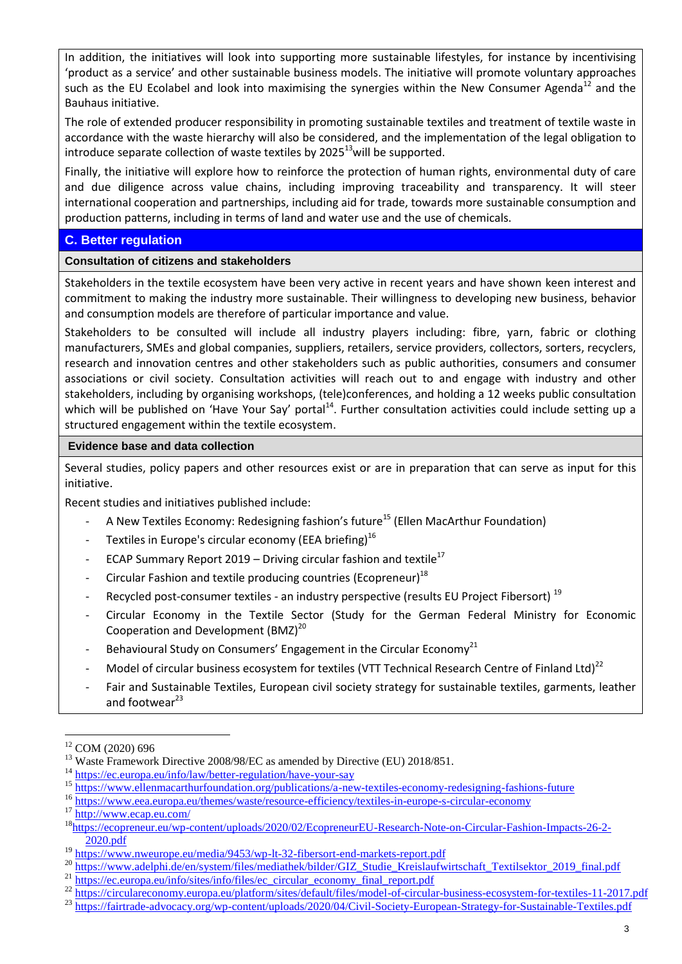In addition, the initiatives will look into supporting more sustainable lifestyles, for instance by incentivising 'product as a service' and other sustainable business models. The initiative will promote voluntary approaches such as the EU Ecolabel and look into maximising the synergies within the New Consumer Agenda<sup>12</sup> and the Bauhaus initiative.

The role of extended producer responsibility in promoting sustainable textiles and treatment of textile waste in accordance with the waste hierarchy will also be considered, and the implementation of the legal obligation to introduce separate collection of waste textiles by  $2025^{13}$  will be supported.

Finally, the initiative will explore how to reinforce the protection of human rights, environmental duty of care and due diligence across value chains, including improving traceability and transparency. It will steer international cooperation and partnerships, including aid for trade, towards more sustainable consumption and production patterns, including in terms of land and water use and the use of chemicals.

# **C. Better regulation**

**Consultation of citizens and stakeholders** 

Stakeholders in the textile ecosystem have been very active in recent years and have shown keen interest and commitment to making the industry more sustainable. Their willingness to developing new business, behavior and consumption models are therefore of particular importance and value.

Stakeholders to be consulted will include all industry players including: fibre, yarn, fabric or clothing manufacturers, SMEs and global companies, suppliers, retailers, service providers, collectors, sorters, recyclers, research and innovation centres and other stakeholders such as public authorities, consumers and consumer associations or civil society. Consultation activities will reach out to and engage with industry and other stakeholders, including by organising workshops, (tele)conferences, and holding a 12 weeks public consultation which will be published on 'Have Your Say' portal<sup>14</sup>. Further consultation activities could include setting up a structured engagement within the textile ecosystem.

# **Evidence base and data collection**

Several studies, policy papers and other resources exist or are in preparation that can serve as input for this initiative.

Recent studies and initiatives published include:

- A New Textiles Economy: Redesigning fashion's future<sup>15</sup> (Ellen MacArthur Foundation)
- Textiles in Europe's circular economy (EEA briefing)<sup>16</sup>
- ECAP Summary Report 2019 Driving circular fashion and textile<sup>17</sup>
- Circular Fashion and textile producing countries (Ecopreneur)<sup>18</sup>
- Recycled post-consumer textiles an industry perspective (results EU Project Fibersort)<sup>19</sup>
- Circular Economy in the Textile Sector (Study for the German Federal Ministry for Economic Cooperation and Development  $(BMZ)^{20}$
- Behavioural Study on Consumers' Engagement in the Circular Economy<sup>21</sup>
- Model of circular business ecosystem for textiles (VTT Technical Research Centre of Finland Ltd)<sup>22</sup>
- Fair and Sustainable Textiles, European civil society strategy for sustainable textiles, garments, leather and footwear $^{23}$

1

<sup>14</sup> <https://ec.europa.eu/info/law/better-regulation/have-your-say>

<sup>17</sup> http://ww<u>w.ecap.eu.com/</u>

<sup>12</sup> COM (2020) 696

<sup>&</sup>lt;sup>13</sup> Waste Framework Directive 2008/98/EC as amended by Directive (EU) 2018/851.

<sup>&</sup>lt;sup>15</sup> <https://www.ellenmacarthurfoundation.org/publications/a-new-textiles-economy-redesigning-fashions-future>

<sup>&</sup>lt;sup>16</sup> <https://www.eea.europa.eu/themes/waste/resource-efficiency/textiles-in-europe-s-circular-economy>

<sup>18</sup>[https://ecopreneur.eu/wp-content/uploads/2020/02/EcopreneurEU-Research-Note-on-Circular-Fashion-Impacts-26-2-](https://ecopreneur.eu/wp-content/uploads/2020/02/EcopreneurEU-Research-Note-on-Circular-Fashion-Impacts-26-2-2020.pdf) [2020.pdf](https://ecopreneur.eu/wp-content/uploads/2020/02/EcopreneurEU-Research-Note-on-Circular-Fashion-Impacts-26-2-2020.pdf)

<sup>&</sup>lt;sup>19</sup> <https://www.nweurope.eu/media/9453/wp-lt-32-fibersort-end-markets-report.pdf>

<sup>&</sup>lt;sup>20</sup> [https://www.adelphi.de/en/system/files/mediathek/bilder/GIZ\\_Studie\\_Kreislaufwirtschaft\\_Textilsektor\\_2019\\_final.pdf](https://www.adelphi.de/en/system/files/mediathek/bilder/GIZ_Studie_Kreislaufwirtschaft_Textilsektor_2019_final.pdf)

<sup>&</sup>lt;sup>21</sup> [https://ec.europa.eu/info/sites/info/files/ec\\_circular\\_economy\\_final\\_report.pdf](https://ec.europa.eu/info/sites/info/files/ec_circular_economy_final_report.pdf)

<sup>&</sup>lt;sup>22</sup> <https://circulareconomy.europa.eu/platform/sites/default/files/model-of-circular-business-ecosystem-for-textiles-11-2017.pdf>

<sup>&</sup>lt;sup>23</sup> <https://fairtrade-advocacy.org/wp-content/uploads/2020/04/Civil-Society-European-Strategy-for-Sustainable-Textiles.pdf>